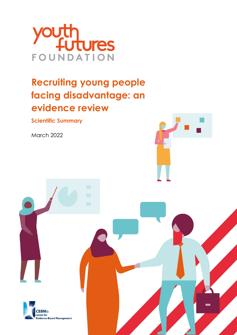

**Scientific Summary**

March 2022

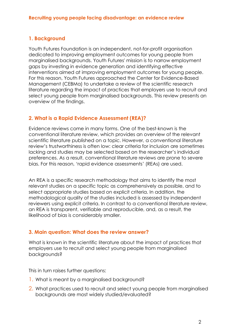### **1. Background**

Youth Futures Foundation is an independent, not-for-profit organisation dedicated to improving employment outcomes for young people from marginalised backgrounds. Youth Futures' mission is to narrow employment gaps by investing in evidence generation and identifying effective interventions aimed at improving employment outcomes for young people. For this reason, Youth Futures approached the Center for Evidence-Based Management (CEBMa) to undertake a review of the scientific research literature regarding the impact of practices that employers use to recruit and select young people from marginalised backgrounds. This review presents an overview of the findings.

### **2. What is a Rapid Evidence Assessment (REA)?**

Evidence reviews come in many forms. One of the best-known is the conventional literature review, which provides an overview of the relevant scientific literature published on a topic. However, a conventional literature review's trustworthiness is often low: clear criteria for inclusion are sometimes lacking and studies may be selected based on the researcher's individual preferences. As a result, conventional literature reviews are prone to severe bias. For this reason, 'rapid evidence assessments' (REAs) are used.

An REA is a specific research methodology that aims to identify the most relevant studies on a specific topic as comprehensively as possible, and to select appropriate studies based on explicit criteria. In addition, the methodological quality of the studies included is assessed by independent reviewers using explicit criteria. In contrast to a conventional literature review, an REA is transparent, verifiable and reproducible, and, as a result, the likelihood of bias is considerably smaller.

#### **3. Main question: What does the review answer?**

What is known in the scientific literature about the impact of practices that employers use to recruit and select young people from marginalised backgrounds?

This in turn raises further questions:

- 1. What is meant by a marginalised background?
- 2. What practices used to recruit and select young people from marginalised backgrounds are most widely studied/evaluated?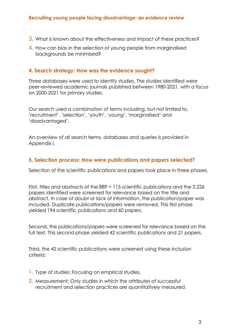- 3. What is known about the effectiveness and impact of these practices?
- 4. How can bias in the selection of young people from marginalised backgrounds be minimised?

### **4. Search strategy: How was the evidence sought?**

Three databases were used to identify studies. The studies identified were peer-reviewed academic journals published between 1980-2021, with a focus on 2000-2021 for primary studies.

Our search used a combination of terms including, but not limited to, 'recruitment', 'selection', 'youth', 'young', 'marginalised' and 'disadvantaged'.

An overview of all search terms, databases and queries is provided in Appendix I.

### **5. Selection process: How were publications and papers selected?**

Selection of the scientific publications and papers took place in three phases.

First, titles and abstracts of the 889 + 115 scientific publications and the 2,226 papers identified were screened for relevance based on the title and abstract. In case of doubt or lack of information, the publication/paper was included. Duplicate publications/papers were removed. This first phase yielded 194 scientific publications and 60 papers.

Second, the publications/papers were screened for relevance based on the full text. This second phase yielded 42 scientific publications and 21 papers.

Third, the 42 scientific publications were screened using these inclusion criteria:

- 1. Type of studies: Focusing on empirical studies.
- 2. Measurement: Only studies in which the attributes of successful recruitment and selection practices are quantitatively measured.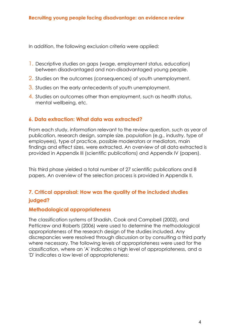In addition, the following exclusion criteria were applied:

- 1. Descriptive studies on gaps (wage, employment status, education) between disadvantaged and non-disadvantaged young people.
- 2. Studies on the outcomes (consequences) of youth unemployment.
- 3. Studies on the early antecedents of youth unemployment.
- 4. Studies on outcomes other than employment, such as health status, mental wellbeing, etc.

### **6. Data extraction: What data was extracted?**

From each study, information relevant to the review question, such as year of publication, research design, sample size, population (e.g., industry, type of employees), type of practice, possible moderators or mediators, main findings and effect sizes, were extracted. An overview of all data extracted is provided in Appendix III (scientific publications) and Appendix IV (papers).

This third phase yielded a total number of 27 scientific publications and 8 papers. An overview of the selection process is provided in Appendix II.

### **7. Critical appraisal: How was the quality of the included studies judged?**

### **Methodological appropriateness**

The classification systems of Shadish, Cook and Campbell (2002), and Petticrew and Roberts (2006) were used to determine the methodological appropriateness of the research design of the studies included. Any discrepancies were resolved through discussion or by consulting a third party where necessary. The following levels of appropriateness were used for the classification, where an 'A' indicates a high level of appropriateness, and a 'D' indicates a low level of appropriateness: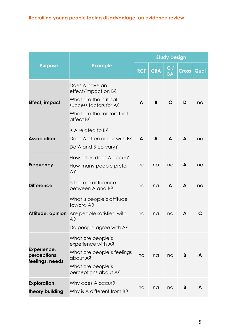|                                                |                                                                                                                                    |              | <b>Study Design</b> |                            |              |      |  |  |
|------------------------------------------------|------------------------------------------------------------------------------------------------------------------------------------|--------------|---------------------|----------------------------|--------------|------|--|--|
| <b>Purpose</b>                                 | <b>Example</b>                                                                                                                     | <b>RCT</b>   | <b>CBA</b>          | $\mathbf C$ .<br><b>BA</b> | <b>Cross</b> | Qual |  |  |
| Effect, impact                                 | Does A have an<br>effect/impact on B?<br>What are the critical<br>success factors for A?<br>What are the factors that<br>affect B? | $\mathbf{A}$ | B                   | C                          | D            | na   |  |  |
| <b>Association</b>                             | Is A related to B?<br>Does A often occur with B?<br>Do A and B co-vary?                                                            | $\mathsf{A}$ | A                   | A                          | A            | na   |  |  |
| <b>Frequency</b>                               | How often does A occur?<br>How many people prefer<br>Υś                                                                            | na           | na                  | na                         | A            | na   |  |  |
| <b>Difference</b>                              | Is there a difference<br>between A and B?                                                                                          | na           | na                  | A                          | A            | na   |  |  |
|                                                | What is people's attitude<br>toward A?<br><b>Attitude, opinion</b> Are people satisfied with<br>Υś<br>Do people agree with A?      | na           | na                  | na                         | A            | C    |  |  |
| Experience,<br>perceptions,<br>feelings, needs | What are people's<br>experience with A?<br>What are people's feelings<br>about A?<br>What are people's<br>perceptions about A?     | na           | na                  | na                         | B            | A    |  |  |
| <b>Exploration,</b><br>theory building         | Why does A occur?<br>Why is A different from B?                                                                                    | na           | na                  | na                         | B            | A    |  |  |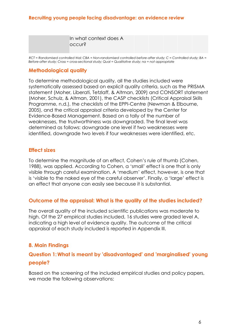| In what context does A<br>occur? |  |
|----------------------------------|--|
|----------------------------------|--|

*RCT = Randomised controlled trial; CBA = Non-randomised controlled before-after study; C = Controlled study; BA = Before-after study; Cross = cross-sectional study; Qual = Qualitative study; na = not appropriate*

#### **Methodological quality**

To determine methodological quality, all the studies included were systematically assessed based on explicit quality criteria, such as the PRISMA statement (Moher, Liberati, Tetzlaff, & Altman, 2009) and CONSORT statement (Moher, Schulz, & Altman, 2001), the CASP checklists (Critical Appraisal Skills Programme, n.d.), the checklists of the EPPI-Centre (Newman & Elbourne, 2005), and the critical appraisal criteria developed by the Center for Evidence-Based Management. Based on a tally of the number of weaknesses, the trustworthiness was downgraded. The final level was determined as follows: downgrade one level if two weaknesses were identified, downgrade two levels if four weaknesses were identified, etc.

#### **Effect sizes**

To determine the magnitude of an effect, Cohen's rule of thumb (Cohen, 1988), was applied. According to Cohen, a 'small' effect is one that is only visible through careful examination. A 'medium' effect, however, is one that is 'visible to the naked eye of the careful observer'. Finally, a 'large' effect is an effect that anyone can easily see because it is substantial.

### **Outcome of the appraisal: What is the quality of the studies included?**

The overall quality of the included scientific publications was moderate to high. Of the 27 empirical studies included, 16 studies were graded level A, indicating a high level of evidence quality. The outcome of the critical appraisal of each study included is reported in Appendix III.

### **8. Main Findings**

### **Question 1:What is meant by 'disadvantaged' and 'marginalised' young people?**

Based on the screening of the included empirical studies and policy papers, we made the following observations: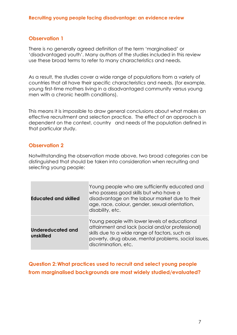#### **Observation 1**

There is no generally agreed definition of the term 'marginalised' or 'disadvantaged youth'. Many authors of the studies included in this review use these broad terms to refer to many characteristics and needs.

As a result, the studies cover a wide range of populations from a variety of countries that all have their specific characteristics and needs, (for example, young first-time mothers living in a disadvantaged community versus young men with a chronic health conditions).

This means it is impossible to draw general conclusions about what makes an effective recruitment and selection practice. The effect of an approach is dependent on the context, country and needs of the population defined in that particular study.

#### **Observation 2**

Notwithstanding the observation made above, two broad categories can be distinguished that should be taken into consideration when recruiting and selecting young people:

| <b>Educated and skilled</b>    | Young people who are sufficiently educated and<br>who possess good skills but who have a<br>disadvantage on the labour market due to their<br>age, race, colour, gender, sexual orientation,<br>disability, etc.                    |
|--------------------------------|-------------------------------------------------------------------------------------------------------------------------------------------------------------------------------------------------------------------------------------|
| Undereducated and<br>unskilled | Young people with lower levels of educational<br>attainment and lack (social and/or professional)<br>skills due to a wide range of factors, such as<br>poverty, drug abuse, mental problems, social issues,<br>discrimination, etc. |

### **Question 2:What practices used to recruit and select young people from marginalised backgrounds are most widely studied/evaluated?**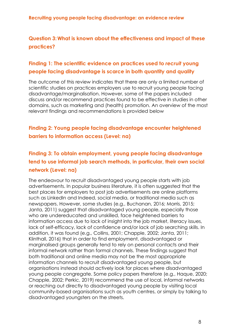### **Question 3:What is known about the effectiveness and impact of these practices?**

### **Finding 1: The scientific evidence on practices used to** *recruit* **young people facing disadvantage is scarce in both quantity and quality**

The outcome of this review indicates that there are only a limited number of scientific studies on practices employers use to recruit young people facing disadvantage/marginalisation. However, some of the papers included discuss and/or recommend practices found to be effective in studies in other domains, such as marketing and (health) promotion. An overview of the most relevant findings and recommendations is provided below

### **Finding 2: Young people facing disadvantage encounter heightened barriers to information access (Level: na)**

# **Finding 3: To obtain employment, young people facing disadvantage tend to use informal job search methods, in particular, their own social network (Level: na)**

The endeavour to recruit disadvantaged young people starts with job advertisements. In popular business literature, it is often suggested that the best places for employers to post job advertisements are online platforms such as LinkedIn and Indeed, social media, or traditional media such as newspapers. However, some studies (e.g., Buchanan, 2016; Morris, 2015; Janta, 2011) suggest that disadvantaged young people, especially those who are undereducated and unskilled, face heightened barriers to information access due to lack of insight into the job market, literacy issues, lack of self-efficacy, lack of confidence and/or lack of job searching skills. In addition, it was found (e.g., Collins, 2001; Chapple, 2002; Janta, 2011; Klinthall, 2016) that in order to find employment, disadvantaged or marginalised groups generally tend to rely on personal contacts and their informal network rather than formal channels. These findings suggest that both traditional and online media may not be the most appropriate information channels to recruit disadvantaged young people, but organisations instead should actively look for places where disadvantaged young people congregate. Some policy papers therefore (e.g., Haque, 2020; Chapple, 2002; Perkic, 2019) recommend the use of local, informal networks or reaching out directly to disadvantaged young people by visiting local community-based organisations such as youth centres, or simply by talking to disadvantaged youngsters on the streets.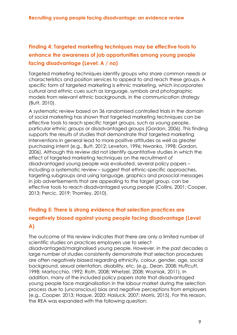# **Finding 4: Targeted marketing techniques may be effective tools to enhance the awareness of job opportunities among young people facing disadvantage (Level: A / na)**

Targeted marketing techniques identify groups who share common needs or characteristics and position services to appeal to and reach these groups. A specific form of targeted marketing is ethnic marketing, which incorporates cultural and ethnic cues such as language, symbols and photographic models from relevant ethnic backgrounds, in the communication strategy (Butt, 2010).

A systematic review based on 36 randomised controlled trials in the domain of social marketing has shown that targeted marketing techniques can be effective tools to reach specific target groups, such as young people, particular ethnic groups or disadvantaged groups (Gordon, 2006). This finding supports the results of studies that demonstrate that targeted marketing interventions in general lead to more positive attitudes as well as greater purchasing intent (e.g., Butt, 2012; Leveton, 1996; Nwanko, 1998; Gordon, 2006). Although this review did not identify quantitative studies in which the effect of targeted marketing techniques on the recruitment of disadvantaged young people was evaluated, several policy papers – including a systematic review – suggest that ethnic-specific approaches, targeting subgroups and using language, graphics and prosocial messages in job advertisements that are appealing to the target group, can be effective tools to reach disadvantaged young people (Collins, 2001; Cooper, 2013; Percic, 2019; Thornley, 2010).

# **Finding 5: There is strong evidence that selection practices are negatively biased against young people facing disadvantage (Level A)**

The outcome of this review indicates that there are only a limited number of scientific studies on practices employers use to select disadvantaged/marginalised young people. However, in the past decades a large number of studies consistently demonstrate that selection procedures are often negatively biased regarding ethnicity, colour, gender, age, social background, sexual orientation, disability, etc. (e.g., Dean, 2008; Huffcutt, 1998; Martocchio, 1992; Roth, 2008; Whetzel, 2008; Wozniak, 2011). In addition, many of the included policy papers state that disadvantaged young people face marginalisation in the labour market during the selection process due to (unconscious) bias and negative perceptions from employers (e.g., Cooper, 2013; Haque, 2020; Hasluck, 2007; Morris, 2015). For this reason, the REA was expanded with the following question: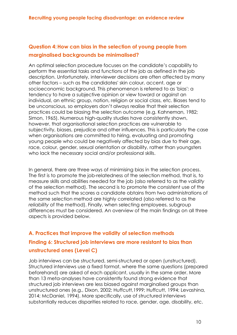### **Question 4:How can bias in the selection of young people from marginalised backgrounds be minimalised?**

An optimal selection procedure focuses on the candidate's capability to perform the essential tasks and functions of the job as defined in the job description. Unfortunately, interviewer decisions are often affected by many other factors – such as the candidates' skin colour, accent, age or socioeconomic background. This phenomenon is referred to as 'bias': a tendency to have a subjective opinion or view toward or against an individual, an ethnic group, nation, religion or social class, etc. Biases tend to be unconscious, so employers don't always realise that their selection practices could be biasing the selection outcome (e.g. Kahneman, 1982; Simon, 1965). Numerous high-quality studies have consistently shown, however, that organisational selection practices are vulnerable to subjectivity, biases, prejudice and other influences. This is particularly the case when organisations are committed to hiring, evaluating and promoting young people who could be negatively affected by bias due to their age, race, colour, gender, sexual orientation or disability, rather than youngsters who lack the necessary social and/or professional skills.

In general, there are three ways of minimising bias in the selection process. The first is to promote the job-relatedness of the selection method, that is, to measure skills and abilities needed for the job (also referred to as the *validity*  of the selection method). The second is to promote the consistent use of the method such that the scores a candidate obtains from two administrations of the same selection method are highly correlated (also referred to as the *reliability* of the method). Finally, when selecting employees, subgroup differences must be considered. An overview of the main findings on all three aspects is provided below.

### **A. Practices that improve the validity of selection methods Finding 6: Structured job interviews are more resistant to bias than unstructured ones (Level C)**

Job interviews can be structured, semi-structured or open (unstructured). Structured interviews use a fixed format, where the same questions (prepared beforehand) are asked of each applicant, usually in the same order. More than 13 meta-analyses have consistently found strong evidence that structured job interviews are less biased against marginalised groups than unstructured ones (e.g., Dixon, 2002; Huffcutt,1999; Huffcutt, 1994; Levashina, 2014; McDaniel, 1994). More specifically, use of structured interviews substantially reduces disparities related to race, gender, age, disability, etc.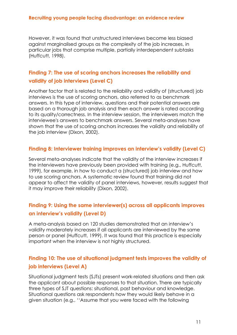However, it was found that unstructured interviews become less biased against marginalised groups as the complexity of the job increases, in particular jobs that comprise multiple, partially interdependent subtasks (Huffcutt, 1998).

### **Finding 7: The use of scoring anchors increases the reliability and validity of job interviews (Level C)**

Another factor that is related to the reliability and validity of (structured) job interviews is the use of scoring anchors, also referred to as benchmark answers. In this type of interview, questions and their potential answers are based on a thorough job analysis and then each answer is rated according to its quality/correctness. In the interview session, the interviewers match the interviewee's answers to benchmark answers. Several meta-analyses have shown that the use of scoring anchors increases the validity and reliability of the job interview (Dixon, 2002).

#### **Finding 8: Interviewer training improves an interview's validity (Level C)**

Several meta-analyses indicate that the validity of the interview increases if the interviewers have previously been provided with training (e.g., Huffcutt, 1999), for example, in how to conduct a (structured) job interview and how to use scoring anchors. A systematic review found that training did not appear to affect the validity of panel interviews, however, results suggest that it may improve their reliability (Dixon, 2002).

### **Finding 9: Using the same interviewer(s) across all applicants improves an interview's validity (Level D)**

A meta-analysis based on 120 studies demonstrated that an interview's validity moderately increases if all applicants are interviewed by the same person or panel (Huffcutt, 1999). It was found that this practice is especially important when the interview is not highly structured.

### **Finding 10: The use of situational judgment tests improves the validity of job interviews (Level A)**

Situational judgment tests (SJTs) present work-related situations and then ask the applicant about possible responses to that situation. There are typically three types of SJT questions: situational, past behaviour and knowledge. Situational questions ask respondents how they would likely behave in a given situation (e.g., ''Assume that you were faced with the following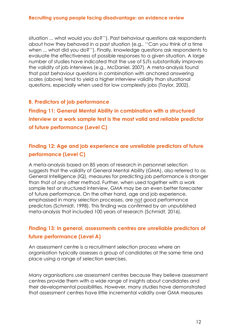situation ... what would you do?''). Past behaviour questions ask respondents about how they behaved in a past situation (e.g., ''Can you think of a time when ... what did you do?''). Finally, knowledge questions ask respondents to evaluate the effectiveness of possible responses to a given situation. A large number of studies have indicated that the use of SJTs substantially improves the validity of job interviews (e.g., McDaniel, 2007). A meta-analysis found that past behaviour questions in combination with anchored answering scales (above) tend to yield a higher interview validity than situational questions, especially when used for low complexity jobs (Taylor, 2002).

### **B. Predictors of job performance**

**Finding 11: General Mental Ability in combination with a structured interview or a work sample test is the most valid and reliable predictor of future performance (Level C)**

### **Finding 12: Age and job experience are unreliable predictors of future performance (Level C)**

A meta-analysis based on 85 years of research in personnel selection suggests that the validity of General Mental Ability (GMA), also referred to as General Intelligence (IQ), measures for predicting job performance is stronger than that of any other method. Further, when used together with a work sample test or structured interview, GMA may be an even better forecaster of future performance. On the other hand, age and job experience, emphasised in many selection processes, are not good performance predictors (Schmidt, 1998). This finding was confirmed by an unpublished meta-analysis that included 100 years of research (Schmidt, 2016).

### **Finding 13: In general, assessments centres are unreliable predictors of future performance (Level A)**

An assessment centre is a recruitment selection process where an organisation typically assesses a group of candidates at the same time and place using a range of selection exercises.

Many organisations use assessment centres because they believe assessment centres provide them with a wide range of insights about candidates and their developmental possibilities. However, many studies have demonstrated that assessment centres have little incremental validity over GMA measures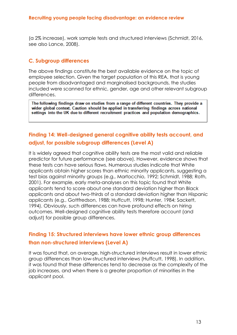(a 2% increase), work sample tests and structured interviews (Schmidt, 2016, see also Lance, 2008).

### **C. Subgroup differences**

The above findings constitute the best available evidence on the topic of employee selection. Given the target population of this REA, that is young people from disadvantaged and marginalised backgrounds, the studies included were scanned for ethnic, gender, age and other relevant subgroup differences.

The following findings draw on studies from a range of different countries. They provide a wider global context. Caution should be applied in transferring findings across national settings into the UK due to different recruitment practices and population demographics.

### **Finding 14: Well-designed general cognitive ability tests account, and adjust, for possible subgroup differences (Level A)**

It is widely agreed that cognitive ability tests are the most valid and reliable predictor for future performance (see above). However, evidence shows that these tests can have serious flaws. Numerous studies indicate that White applicants obtain higher scores than ethnic minority applicants, suggesting a test bias against minority groups (e.g., Martocchio, 1992; Schmidt, 1988; Roth, 2001). For example, early meta-analyses on this topic found that White applicants tend to score about one standard deviation higher than Black applicants and about two-thirds of a standard deviation higher than Hispanic applicants (e.g., Gottfredson, 1988; Huffcutt, 1998; Hunter, 1984; Sackett, 1994). Obviously, such differences can have profound effects on hiring outcomes. Well-designed cognitive ability tests therefore account (and adjust) for possible group differences.

### **Finding 15: Structured interviews have lower ethnic group differences than non-structured interviews (Level A)**

It was found that, on average, high-structured interviews result in lower ethnic group differences than low-structured interviews (Huffcutt, 1998). In addition, it was found that these differences tend to decrease as the complexity of the job increases, and when there is a greater proportion of minorities in the applicant pool.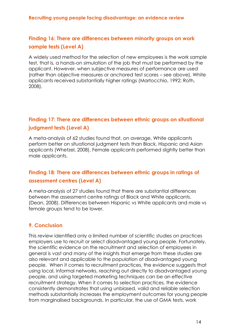### **Finding 16: There are differences between minority groups on work sample tests (Level A)**

A widely used method for the selection of new employees is the work sample test, that is, a hands-on simulation of the job that must be performed by the applicant. However, when subjective measures of performance are used (rather than objective measures or anchored test scores – see above), White applicants received substantially higher ratings (Martocchio, 1992; Roth, 2008).

### **Finding 17: There are differences between ethnic groups on situational judgment tests (Level A)**

A meta-analysis of 62 studies found that, on average, White applicants perform better on situational judgment tests than Black, Hispanic and Asian applicants (Whetzel, 2008). Female applicants performed slightly better than male applicants.

### **Finding 18: There are differences between ethnic groups in ratings of assessment centres (Level A)**

A meta-analysis of 27 studies found that there are substantial differences between the assessment centre ratings of Black and White applicants. (Dean, 2008). Differences between Hispanic vs White applicants and male vs female groups tend to be lower.

### **9. Conclusion**

This review identified only a limited number of scientific studies on practices employers use to recruit or select disadvantaged young people. Fortunately, the scientific evidence on the recruitment and selection of employees in general is vast and many of the insights that emerge from these studies are also relevant and applicable to the population of disadvantaged young people. When it comes to recruitment practices, the evidence suggests that using local, informal networks, reaching out directly to disadvantaged young people, and using targeted marketing techniques can be an effective recruitment strategy. When it comes to selection practices, the evidence consistently demonstrates that using unbiased, valid and reliable selection methods substantially increases the employment outcomes for young people from marginalised backgrounds. In particular, the use of GMA tests, work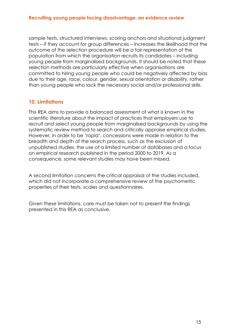sample tests, structured interviews, scoring anchors and situational judgment tests *– if* they account for group differences – increases the likelihood that the outcome of the selection procedure will be a fair representation of the population from which the organisation recruits its candidates – including young people from marginalised backgrounds. It should be noted that these selection methods are particularly effective when organisations are committed to hiring young people who could be negatively affected by bias due to their age, race, colour, gender, sexual orientation or disability, rather than young people who lack the necessary social and/or professional skills.

### **10. Limitations**

This REA aims to provide a balanced assessment of what is known in the scientific literature about the impact of practices that employers use to recruit and select young people from marginalised backgrounds by using the systematic review method to search and critically appraise empirical studies. However, in order to be 'rapid', concessions were made in relation to the breadth and depth of the search process, such as the exclusion of unpublished studies, the use of a limited number of databases and a focus on empirical research published in the period 2000 to 2019. As a consequence, some relevant studies may have been missed.

A second limitation concerns the critical appraisal of the studies included, which did not incorporate a comprehensive review of the psychometric properties of their tests, scales and questionnaires.

Given these limitations, care must be taken not to present the findings presented in this REA as conclusive.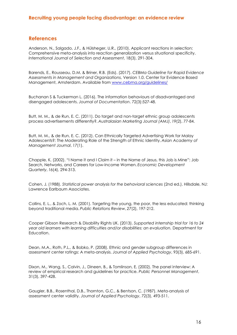#### **References**

Anderson, N., Salgado, J.F., & Hülsheger, U.R., (2010). Applicant reactions in selection: Comprehensive meta-analysis into reaction generalization versus situational specificity. *International Journal of Selection and Assessment*, 18(3), 291-304.

Barends, E., Rousseau, D.M. & Briner, R.B. (Eds). (2017). *CEBMa Guideline for Rapid Evidence Assessments in Management and Organizations*, Version 1.0. Center for Evidence Based Management, Amsterdam. Available from [www.cebma.org/guidelines/](http://www.cebma.org/guidelines/)

Buchanan S & Tuckerman L. (2016). The information behaviours of disadvantaged and disengaged adolescents. *Journal of Documentation*. 72(3):527-48.

Butt, M. M., & de Run, E. C. (2011). Do target and non-target ethnic group adolescents process advertisements differently?. *Australasian Marketing Journal (AMJ)*, *19*(2), 77-84.

Butt, M. M., & de Run, E. C. (2012). Can Ethnically Targeted Advertising Work for Malay Adolescents?: The Moderating Role of the Strength of Ethnic Identity. *Asian Academy of Management Journal*, *17*(1).

Chapple, K. (2002). "I Name it and I Claim it – in the Name of Jesus, this Job is Mine": Job Search, Networks, and Careers for Low-Income Women. *Economic Development Quarterly*, *16*(4), 294-313.

Cohen, J. (1988). *Statistical power analysis for the behavioral sciences* (2nd ed.). Hillsdale, NJ: Lawrence Earlbaum Associates.

Collins, E. L., & Zoch, L. M. (2001). Targeting the young, the poor, the less educated: thinking beyond traditional media. *Public Relations Review*, *27*(2), 197-212.

Cooper Gibson Research & Disability Rights UK. (2013). *Supported internship trial for 16 to 24*  year old learners with learning difficulties and/or disabilities: an evaluation. Department for Education.

Dean, M.A., Roth, P.L., & Bobko, P. (2008). Ethnic and gender subgroup differences in assessment center ratings: A meta-analysis. *Journal of Applied Psychology*, 93(3), 685-691.

Dixon, M., Wang, S., Calvin, J., Dineen, B., & Tomlinson, E. (2002). The panel interview: A review of empirical research and guidelines for practice. *Public Personnel Management*, 31(3), 397-428.

Gaugler, B.B., Rosenthal, D.B., Thornton, G.C., & Bentson, C. (1987). Meta-analysis of assessment center validity. *Journal of Applied Psychology*, 72(3), 493-511.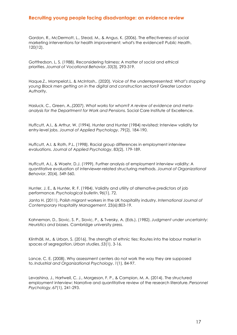Gordon, R., McDermott, L., Stead, M., & Angus, K. (2006). The effectiveness of social marketing interventions for health improvement: what's the evidence? *Public Health*, 120(12).

Gottfredson, L. S. (1988). Reconsidering fairness: A matter of social and ethical priorities. *Journal of Vocational Behavior*, *33*(3), 293-319.

Haque,Z., Mompelat,L. & McIntosh,. (2020). *Voice of the underrepresented: What's stopping young Black men getting on in the digital and construction sectors?* Greater London Authority.

Hasluck, C., Green, A.,(2007). *What works for whom? A review of evidence and metaanalysis for the Department for Work and Pensions.* Social Care Institute of Excellence.

Huffcutt, A.I., & Arthur, W. (1994). Hunter and Hunter (1984) revisited: Interview validity for entry-level jobs. *Journal of Applied Psychology*, 79(2), 184-190.

Huffcutt, A.I. & Roth, P.L. (1998). Racial group differences in employment interview evaluations. *Journal of Applied Psychology*, 83(2), 179-189.

Huffcutt, A.I., & Woehr, D.J. (1999). Further analysis of employment interview validity: A quantitative evaluation of interviewer-related structuring methods. *Journal of Organizational Behavior*, 20(4), 549-560.

Hunter, J. E., & Hunter, R. F. (1984). Validity and utility of alternative predictors of job performance. *Psychological bulletin*, *96*(1), 72.

Janta H. (2011). Polish migrant workers in the UK hospitality industry. *International Journal of Contemporary Hospitality Management*. 23(6):803-19.

Kahneman, D., Slovic, S. P., Slovic, P., & Tversky, A. (Eds.). (1982). *Judgment under uncertainty: Heuristics and biases*. Cambridge university press.

Klinthäll, M., & Urban, S. (2016). The strength of ethnic ties: Routes into the labour market in spaces of segregation. *Urban studies*, *53*(1), 3-16.

Lance, C. E. (2008). Why assessment centers do not work the way they are supposed to. *Industrial and Organizational Psychology*, *1*(1), 84-97.

Levashina, J., Hartwell, C. J., Morgeson, F. P., & Campion, M. A. (2014). The structured employment interview: Narrative and quantitative review of the research literature. *Personnel Psychology*, *67*(1), 241-293.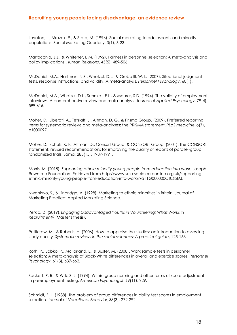Leveton, L., Mrazek, P., & Stoto, M. (1996). Social marketing to adolescents and minority populations. Social Marketing Quarterly, 3(1), 6-23.

Martocchio, J.J., & Whitener, E.M. (1992). Fairness in personnel selection: A meta-analysis and policy implications. *Human Relations*, 45(5), 489-506.

McDaniel, M.A., Hartman, N.S., Whetzel, D.L., & Grubb III, W. L. (2007). Situational judgment tests, response instructions, and validity: A meta-analysis. *Personnel Psychology*, 60(1).

McDaniel, M.A., Whetzel, D.L., Schmidt, F.L., & Maurer, S.D. (1994). The validity of employment interviews: A comprehensive review and meta-analysis. *Journal of Applied Psychology*, 79(4), 599-616.

Moher, D., Liberati, A., Tetzlaff, J., Altman, D. G., & Prisma Group. (2009). Preferred reporting items for systematic reviews and meta-analyses: the PRISMA statement. *PLoS medicine*, *6*(7), e1000097.

Moher, D., Schulz, K. F., Altman, D., Consort Group, & CONSORT Group. (2001). The CONSORT statement: revised recommendations for improving the quality of reports of parallel-group randomized trials. Jama, 285(15), 1987-1991.

Morris, M. (2015). *Supporting ethnic minority young people from education into work.* Joseph Rowntree Foundation. Retrieved from http://www.scie-socialcareonline.org.uk/supportingethnic-minority-young-people-from-education-into-work/r/a11G000000CT0ZbIAL

Nwankwo, S., & Lindridge, A. (1998). Marketing to ethnic minorities in Britain. Journal of Marketing Practice: Applied Marketing Science.

Perkić, D. (2019). *Engaging Disadvantaged Youths in Volunteering: What Works in Recruitment?* (Master's thesis).

Petticrew, M., & Roberts, H. (2006). How to appraise the studies: an introduction to assessing study quality. *Systematic reviews in the social sciences: A practical guide*, 125-163.

Roth, P., Bobko, P., McFarland, L., & Buster, M. (2008). Work sample tests in personnel selection: A meta-analysis of Black-White differences in overall and exercise scores. *Personnel Psychology*, 61(3), 637-662.

Sackett, P. R., & Wilk, S. L. (1994). Within-group norming and other forms of score adjustment in preemployment testing. *American Psychologist*, *49*(11), 929.

Schmidt, F. L. (1988). The problem of group differences in ability test scores in employment selection. *Journal of Vocational Behavior*, *33*(3), 272-292.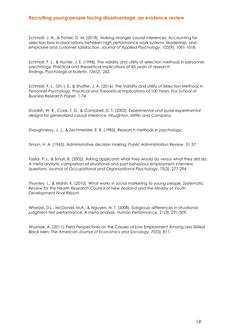Schmidt, J. A., & Pohler, D. M. (2018). Making stronger causal inferences: Accounting for selection bias in associations between high performance work systems, leadership, and employee and customer satisfaction. *Journal of Applied Psychology*, 103(9), 1001-1018.

Schmidt, F. L., & Hunter, J. E. (1998). The validity and utility of selection methods in personnel psychology: Practical and theoretical implications of 85 years of research findings. *Psychological bulletin*, *124*(2), 262.

Schmidt, F. L., Oh, I. S., & Shaffer, J. A. (2016). The Validity and Utility of Selection Methods in Personnel Psychology: Practical and Theoretical Implications of 100 Years. *Fox School of Business Research Paper*, 1-74.

Shadish, W. R., Cook, T. D., & Campbell, D. T. (2002). *Experimental and quasi-experimental designs for generalized causal inference*. Houghton, Mifflin and Company.

Shaughnessy, J. J., & Zechmeister, E. B. (1985). *Research methods in psychology*.

Simon, H. A. (1965). Administrative decision making. *Public Administration Review*, 31-37.

Taylor, P.J., & Small, B. (2002). Asking applicants what they would do versus what they did do: A meta-analytic comparison of situational and past behaviour employment interview questions. *Journal of Occupational and Organizational Psychology*, 75(3), 277-294.

Thornley, L., & Marsh, K. (2010). What works in social marketing to young people. *Systematic Review for the Health Research Council of New Zealand and the Ministry of Youth Development Final Report*.

Whetzel, D.L., McDaniel, M.A.; & Nguyen, N. T. (2008). Subgroup differences in situational judgment test performance: A meta-analysis. *Human Performance*, 21(3), 291-309.

Wozniak, A. (2011). Field Perspectives on the Causes of Low Employment Among Less Skilled Black Men. *The American Journal of Economics and Sociology, 70*(3), 811.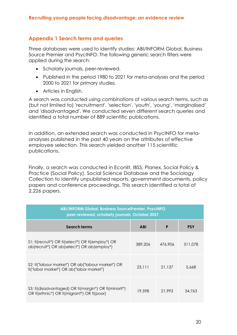### **Appendix 1 Search terms and queries**

Three databases were used to identify studies: ABI/INFORM Global, Business Source Premier and PsycINFO. The following generic search filters were applied during the search:

- Scholarly journals, peer-reviewed.
- Published in the period 1980 to 2021 for meta-analyses and the period 2000 to 2021 for primary studies.
- Articles in English.

A search was conducted using combinations of various search terms, such as (but not limited to) 'recruitment', 'selection', 'youth', 'young', 'marginalised' and 'disadvantaged'. We conducted seven different search queries and identified a total number of 889 scientific publications.

In addition, an extended search was conducted in PsycINFO for metaanalyses published in the past 40 years on the attributes of effective employee selection. This search yielded another 115 scientific publications.

Finally, a search was conducted in Econlit, IBSS, Planex, Social Policy & Practice (Social Policy), Social Science Database and the Sociology Collection to identify unpublished reports, government documents, policy papers and conference proceedings. This search identified a total of 2,226 papers.

| <b>ABI/INFORM Global, Business SourcePremier, PsycINFO</b><br>peer reviewed, scholarly journals, October 2021 |            |         |            |  |  |  |  |  |
|---------------------------------------------------------------------------------------------------------------|------------|---------|------------|--|--|--|--|--|
| Search terms                                                                                                  | <b>ABI</b> | P       | <b>PSY</b> |  |  |  |  |  |
| S1: ti(recruit*) OR ti(select*) OR ti(employ*) OR<br>ab(recruit*) OR ab(select*) OR ab(employ*)               | 389.206    | 476.906 | 511.078    |  |  |  |  |  |
| S2: ti("labour market") OR ab("labour market") OR<br>ti("labor market") OR ab("labor market")                 | 23.111     | 21,137  | 5,668      |  |  |  |  |  |
| S3: ti(disadvantaged) OR ti(margin*) OR ti(minorit*)<br>OR ti(ethnic*) OR ti(migrant*) OR ti(poor)            | 19.598     | 21,993  | 34,763     |  |  |  |  |  |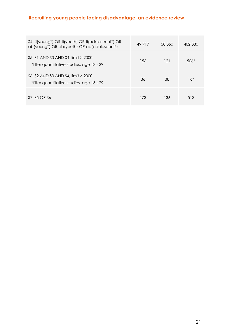| S4: ti(young*) OR ti(youth) OR ti(adolescent*) OR<br>ab(young*) OR ab(youth) OR ab(adolescent*) | 49.917 | 58.360 | 402.380 |
|-------------------------------------------------------------------------------------------------|--------|--------|---------|
| S5: S1 AND S3 AND S4, limit > 2000<br>*filter quantitative studies, age 13 - 29                 | 156    | 121    | $506*$  |
| S6: S2 AND S3 AND S4, limit > 2000<br>*filter quantitative studies, age 13 - 29                 | 36     | 38     | $16*$   |
| $ST:$ S5 OR S6                                                                                  | 173    | 136    | 513     |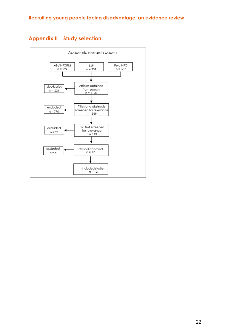

### **Appendix II Study selection**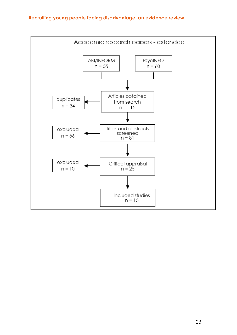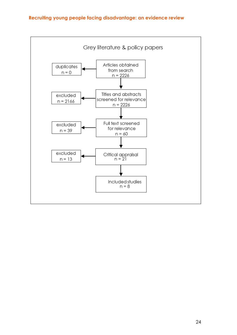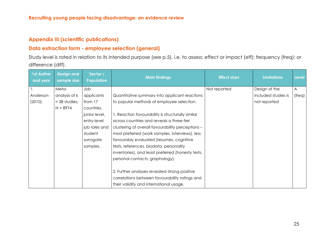### **Appendix III (scientific publications)**

#### **Data extraction form - employee selection (general)**

Study level is rated in relation to its intended purpose (see p.5), i.e. to assess: effect or impact (eff); frequency (freq); or difference (diff).

| <b>1st Author</b><br>and year | <b>Design and</b><br>sample size | Sector /<br><b>Population</b> | <b>Main findings</b>                              | <b>Effect sizes</b> | <b>Limitations</b>  | <b>Level</b>     |
|-------------------------------|----------------------------------|-------------------------------|---------------------------------------------------|---------------------|---------------------|------------------|
| Ι.                            | Meta-                            | dol                           |                                                   | Not reported        | Design of the       | $\overline{A}$   |
| Anderson                      | analysis of k                    | applicants                    | Quantitative summary into applicant reactions     |                     | included studies is | $_{\text{freq}}$ |
| (2010)                        | $=$ 38 studies,                  | from 17                       | to popular methods of employee selection.         |                     | not reported        |                  |
|                               | $N = 8974$                       | countries,                    |                                                   |                     |                     |                  |
|                               |                                  | junior level,                 | 1. Reaction favourability is structurally similar |                     |                     |                  |
|                               |                                  | entry-level                   | across countries and reveals a three-tier         |                     |                     |                  |
|                               |                                  | job roles and                 | clustering of overall favourability perceptions - |                     |                     |                  |
|                               |                                  | student                       | most preferred (work samples, interviews), less   |                     |                     |                  |
|                               |                                  | surrogate                     | favourably evaluated (resumes, cognitive          |                     |                     |                  |
|                               |                                  | samples.                      | tests, references, biodata, personality           |                     |                     |                  |
|                               |                                  |                               | inventories), and least preferred (honesty tests, |                     |                     |                  |
|                               |                                  |                               | personal contacts, graphology).                   |                     |                     |                  |
|                               |                                  |                               |                                                   |                     |                     |                  |
|                               |                                  |                               | 2. Further analyses revealed strong positive      |                     |                     |                  |
|                               |                                  |                               | correlations between favourability ratings and    |                     |                     |                  |
|                               |                                  |                               | their validity and international usage.           |                     |                     |                  |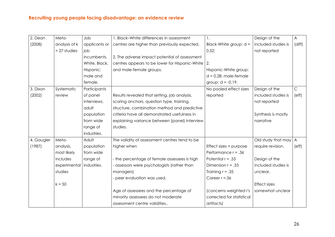| 2. Dean    | Meta-          | Job           | 1. Black-White differences in assessment       | 1.                        | Design of the       | $\overline{A}$ |
|------------|----------------|---------------|------------------------------------------------|---------------------------|---------------------|----------------|
| (2008)     | analysis of k  | applicants or | centres are higher than previously expected.   | Black-White group: $d =$  | included studies is | (diff)         |
|            | $= 27$ studies | iob           |                                                | 0.52;                     | not reported        |                |
|            |                | incumbents,   | 2. The adverse impact potential of assessment  |                           |                     |                |
|            |                | White, Black, | centres appears to be lower for Hispanic-White | 2.                        |                     |                |
|            |                | Hispanic;     | and male-female groups.                        | Hispanic-White group:     |                     |                |
|            |                | male and      |                                                | $d = 0.28$ ; male-female  |                     |                |
|            |                | female.       |                                                | group: $d = -0.19$ .      |                     |                |
| 3. Dixon   | Systematic     | Participants  |                                                | No pooled effect sizes    | Design of the       | $\mathsf{C}$   |
| (2002)     | review         | of panel      | Results revealed that setting, job analysis,   | reported                  | included studies is | (eff)          |
|            |                | interviews,   | scoring anchors, question type, training,      |                           | not reported        |                |
|            |                | adult         | structure, combination method and predictive   |                           |                     |                |
|            |                | population    | criteria have all demonstrated usefulness in   |                           | Synthesis is mostly |                |
|            |                | from wide     | explaining variance between (panel) interview  |                           | narrative           |                |
|            |                | range of      | studies.                                       |                           |                     |                |
|            |                | industries.   |                                                |                           |                     |                |
| 4. Gaugler | Meta-          | Adult         | The validity of assessment centres tend to be  |                           | Old study that may  | $\overline{A}$ |
| (1987)     | analysis,      | population    | higher when                                    | Effect sizes > purpose    | require revision.   | (eff)          |
|            | most likely    | from wide     |                                                | Performance $r = .36$     |                     |                |
|            | includes       | range of      | - the percentage of female assessees is high   | Potential $r = .53$       | Design of the       |                |
|            | experimental   | industries.   | - assessors were psychologists (rather than    | Dimension $r = .33$       | included studies is |                |
|            | studies        |               | managers)                                      | Training $r = .35$        | unclear.            |                |
|            |                |               | peer evaluation was used.                      | Career $r = 0.36$         |                     |                |
|            | $k = 50$       |               |                                                |                           | <b>Effect sizes</b> |                |
|            |                |               | Age of assessees and the percentage of         | (concerns weighted r's    | somewhat unclear    |                |
|            |                |               | minority assessees do not moderate             | corrected for statistical |                     |                |
|            |                |               | assessment centre validities                   | artifacts)                |                     |                |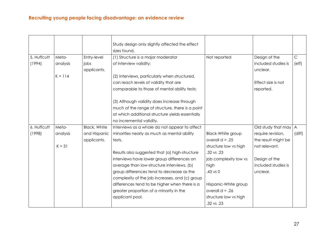|             |           |                     | Study design only slightly affected the effect<br>sizes found. |                          |                     |                |
|-------------|-----------|---------------------|----------------------------------------------------------------|--------------------------|---------------------|----------------|
| 5. Huffcutt | Meta-     | Entry-level         | (1) Structure is a major moderator                             | Not reported             | Design of the       | $\mathsf C$    |
| (1994)      | analysis  | jobs                | of interview validity;                                         |                          | included studies is | (eff)          |
|             |           | applicants.         |                                                                |                          | unclear.            |                |
|             | $K = 114$ |                     | (2) Interviews, particularly when structured,                  |                          |                     |                |
|             |           |                     | can reach levels of validity that are                          |                          | Effect size is not  |                |
|             |           |                     | comparable to those of mental ability tests;                   |                          | reported.           |                |
|             |           |                     | (3) Although validity does increase through                    |                          |                     |                |
|             |           |                     | much of the range of structure, there is a point               |                          |                     |                |
|             |           |                     | at which additional structure yields essentially               |                          |                     |                |
|             |           |                     | no incremental validity.                                       |                          |                     |                |
| 6. Huffcutt | Meta-     | <b>Black, White</b> | Interviews as a whole do not appear to affect                  |                          | Old study that may  | $\overline{A}$ |
| (1998)      | analysis  | and Hispanic        | minorities nearly as much as mental ability                    | <b>Black-White group</b> | require revision,   | (diff)         |
|             |           | applicants.         | tests.                                                         | overall $d = .25$        | the result might be |                |
|             | $K = 31$  |                     |                                                                | structure low vs high    | not relevant.       |                |
|             |           |                     | Results also suggested that (a) high-structure                 | .32 vs .23               |                     |                |
|             |           |                     | interviews have lower group differences on                     | job complexity low vs    | Design of the       |                |
|             |           |                     | average than low-structure interviews, (b)                     | high                     | included studies is |                |
|             |           |                     | group differences tend to decrease as the                      | .43 vs 0                 | unclear.            |                |
|             |           |                     | complexity of the job increases, and (c) group                 |                          |                     |                |
|             |           |                     | differences tend to be higher when there is a                  | Hispanic-White group     |                     |                |
|             |           |                     | greater proportion of a minority in the                        | overall $d = .26$        |                     |                |
|             |           |                     | applicant pool.                                                | structure low vs high    |                     |                |
|             |           |                     |                                                                | .32 vs .23               |                     |                |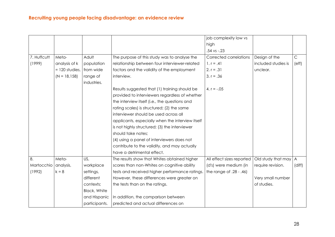|             |                  |               |                                                  | job complexity low vs     |                     |                |
|-------------|------------------|---------------|--------------------------------------------------|---------------------------|---------------------|----------------|
|             |                  |               |                                                  | high                      |                     |                |
|             |                  |               |                                                  | $.54$ vs $-.23$           |                     |                |
| 7. Huffcutt | Meta-            | Adult         | The purpose of this study was to analyse the     | Corrected correlations    | Design of the       | $\mathsf C$    |
| (1999)      | analysis of k    | population    | relationship between four interviewer-related    | 1. $r = .41$              | included studies is | (eff)          |
|             | $= 120$ studies, | from wide     | factors and the validity of the employment       | 2. $r = .31$              | unclear.            |                |
|             | $(N = 18, 158)$  | range of      | interview.                                       | $3. r = .36$              |                     |                |
|             |                  | industries.   |                                                  |                           |                     |                |
|             |                  |               | Results suggested that (1) training should be    | 4. $r = -.05$             |                     |                |
|             |                  |               | provided to interviewers regardless of whether   |                           |                     |                |
|             |                  |               | the interview itself (i.e., the questions and    |                           |                     |                |
|             |                  |               | rating scales) is structured; (2) the same       |                           |                     |                |
|             |                  |               | interviewer should be used across all            |                           |                     |                |
|             |                  |               | applicants, especially when the interview itself |                           |                     |                |
|             |                  |               | is not highly structured; (3) the interviewer    |                           |                     |                |
|             |                  |               | should take notes;                               |                           |                     |                |
|             |                  |               | (4) using a panel of interviewers does not       |                           |                     |                |
|             |                  |               | contribute to the validity, and may actually     |                           |                     |                |
|             |                  |               | have a detrimental effect.                       |                           |                     |                |
| 8.          | Meta-            | US,           | The results show that Whites obtained higher     | All effect sizes reported | Old study that may  | $\overline{A}$ |
| Martocchio  | analysis,        | workplace     | scores than non-Whites on cognitive ability      | (d's) were medium (in     | require revision.   | (diff)         |
| (1992)      | $k = 8$          | settings,     | tests and received higher performance ratings.   | the range of .28 - .46)   |                     |                |
|             |                  | different     | However, these differences were greater on       |                           | Very small number   |                |
|             |                  | contexts;     | the tests than on the ratings.                   |                           | of studies.         |                |
|             |                  | Black, White  |                                                  |                           |                     |                |
|             |                  | and Hispanic  | In addition, the comparison between              |                           |                     |                |
|             |                  | participants. | predicted and actual differences on              |                           |                     |                |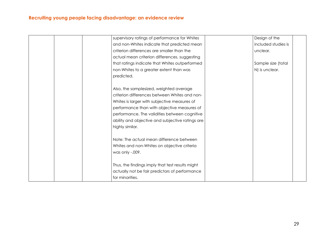|  | supervisory ratings of performance for Whites    | Design of the       |  |
|--|--------------------------------------------------|---------------------|--|
|  | and non-Whites indicate that predicted mean      | included studies is |  |
|  | criterion differences are smaller than the       | unclear.            |  |
|  | actual mean criterion differences, suggesting    |                     |  |
|  | that ratings indicate that Whites outperformed   | Sample size (total  |  |
|  | non-Whites to a greater extent than was          | N) is unclear.      |  |
|  | predicted.                                       |                     |  |
|  |                                                  |                     |  |
|  | Also, the samplesized, weighted average          |                     |  |
|  | criterion differences between Whites and non-    |                     |  |
|  | Whites is larger with subjective measures of     |                     |  |
|  | performance than with objective measures of      |                     |  |
|  | performance. The validities between cognitive    |                     |  |
|  | ability and objective and subjective ratings are |                     |  |
|  | highly similar.                                  |                     |  |
|  |                                                  |                     |  |
|  | Note: The actual mean difference between         |                     |  |
|  | Whites and non-Whites on objective criteria      |                     |  |
|  | was only -.009.                                  |                     |  |
|  |                                                  |                     |  |
|  | Thus, the findings imply that test results might |                     |  |
|  | actually not be fair predictors of performance   |                     |  |
|  | for minorities.                                  |                     |  |
|  |                                                  |                     |  |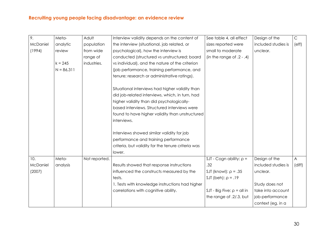| 9.       | Meta-        | Adult         | Interview validity depends on the content of       | See table 4, all effect                | Design of the       | $\mathsf C$    |
|----------|--------------|---------------|----------------------------------------------------|----------------------------------------|---------------------|----------------|
| McDaniel | analytic     | population    | the interview (situational, job related, or        | sizes reported were                    | included studies is | (eff)          |
| (1994)   | review       | from wide     | psychological), how the interview is               | small to moderate                      | unclear.            |                |
|          |              | range of      | conducted (structured vs unstructured; board       | (in the range of $.2 - .4$ )           |                     |                |
|          | $k = 245$    | industries.   | vs individual), and the nature of the criterion    |                                        |                     |                |
|          | $N = 86,311$ |               | (job performance, training performance, and        |                                        |                     |                |
|          |              |               | tenure; research or administrative ratings).       |                                        |                     |                |
|          |              |               | Situational interviews had higher validity than    |                                        |                     |                |
|          |              |               | did job-related interviews, which, in turn, had    |                                        |                     |                |
|          |              |               | higher validity than did psychologically-          |                                        |                     |                |
|          |              |               | based interviews. Structured interviews were       |                                        |                     |                |
|          |              |               | found to have higher validity than unstructured    |                                        |                     |                |
|          |              |               | interviews.                                        |                                        |                     |                |
|          |              |               | Interviews showed similar validity for job         |                                        |                     |                |
|          |              |               | performance and training performance               |                                        |                     |                |
|          |              |               | criteria, but validity for the tenure criteria was |                                        |                     |                |
|          |              |               | lower.                                             |                                        |                     |                |
| 10.      | Meta-        | Not reported. |                                                    | SJT - Cogn ability: $\rho =$           | Design of the       | $\overline{A}$ |
| McDaniel | analysis     |               | Results showed that response instructions          | .32                                    | included studies is | (diff)         |
| (2007)   |              |               | influenced the constructs measured by the          | SJT (knowl): $\rho = .35$              | unclear.            |                |
|          |              |               | tests.                                             | SJT (beh): $\rho = .19$                |                     |                |
|          |              |               | 1. Tests with knowledge instructions had higher    |                                        | Study does not      |                |
|          |              |               | correlations with cognitive ability.               | SJT - Big Five: $\rho = \text{all in}$ | take into account   |                |
|          |              |               |                                                    | the range of .2/.3, but                | job-performance     |                |
|          |              |               |                                                    |                                        | context (eg. in a   |                |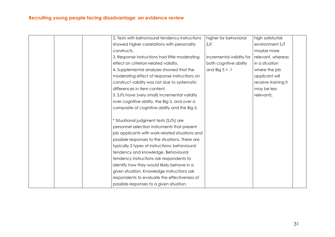|  | 2. Tests with behavioural tendency instructions | higher for behavioral    | high safety/risk    |  |
|--|-------------------------------------------------|--------------------------|---------------------|--|
|  | showed higher correlations with personality     | SJT                      | environment SJT     |  |
|  | constructs.                                     |                          | maybe more          |  |
|  | 3. Response instructions had little moderating  | Incremental validity for | relevant, whereas   |  |
|  | effect on criterion-related validity.           | both cognitive ability   | in a situation      |  |
|  | 4. Supplemental analyses showed that the        | and Big $5 > .1$         | where the job       |  |
|  | moderating effect of response instructions on   |                          | applicant will      |  |
|  | construct validity was not due to systematic    |                          | receive training it |  |
|  | differences in item content.                    |                          | may be less         |  |
|  | 5. SJTs have (very small) incremental validity  |                          | relevant).          |  |
|  | over cognitive ability, the Big 5, and over a   |                          |                     |  |
|  | composite of cognitive ability and the Big 5.   |                          |                     |  |
|  |                                                 |                          |                     |  |
|  | * Situational judgment tests (SJTs) are         |                          |                     |  |
|  | personnel selection instruments that present    |                          |                     |  |
|  | job applicants with work-related situations and |                          |                     |  |
|  | possible responses to the situations. There are |                          |                     |  |
|  | typically 2 types of instructions: behavioural  |                          |                     |  |
|  | tendency and knowledge. Behavioural             |                          |                     |  |
|  | tendency instructions ask respondents to        |                          |                     |  |
|  | identify how they would likely behave in a      |                          |                     |  |
|  | given situation. Knowledge instructions ask     |                          |                     |  |
|  | respondents to evaluate the effectiveness of    |                          |                     |  |
|  | possible responses to a given situation.        |                          |                     |  |
|  |                                                 |                          |                     |  |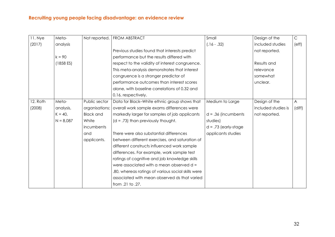| 11. Nye  | Meta-       |                  | Not reported.   FROM ABSTRACT                      | Small                   | Design of the       | $\mathsf{C}$ |
|----------|-------------|------------------|----------------------------------------------------|-------------------------|---------------------|--------------|
| (2017)   | analysis    |                  |                                                    | $(.16-.32)$             | included studies    | (eff)        |
|          |             |                  | Previous studies found that interests predict      |                         | not reported.       |              |
|          | $k = 90$    |                  | performance but the results differed with          |                         |                     |              |
|          | (1858 E)    |                  | respect to the validity of interest congruence.    |                         | Results and         |              |
|          |             |                  | This meta-analysis demonstrates that interest      |                         | relevance           |              |
|          |             |                  | congruence is a stronger predictor of              |                         | somewhat            |              |
|          |             |                  | performance outcomes than interest scores          |                         | unclear.            |              |
|          |             |                  | alone, with baseline correlations of 0.32 and      |                         |                     |              |
|          |             |                  | 0.16, respectively.                                |                         |                     |              |
| 12. Roth | Meta-       | Public sector    | Data for Black-White ethnic group shows that       | Medium to Large         | Design of the       | A            |
| (2008)   | analysis,   | organisations;   | overall work sample exams differences were         |                         | included studies is | (diff)       |
|          | $K = 40,$   | <b>Black and</b> | markedly larger for samples of job applicants      | $d = .36$ (incumbents   | not reported.       |              |
|          | $N = 8,087$ | White            | $(d = .73)$ than previously thought.               | studies)                |                     |              |
|          |             | incumbents       |                                                    | $d = .73$ (early-stage) |                     |              |
|          |             | and              | There were also substantial differences            | applicants studies      |                     |              |
|          |             | applicants.      | between different exercises, and saturation of     |                         |                     |              |
|          |             |                  | different constructs influenced work sample        |                         |                     |              |
|          |             |                  | differences. For example, work sample test         |                         |                     |              |
|          |             |                  | ratings of cognitive and job knowledge skills      |                         |                     |              |
|          |             |                  | were associated with a mean observed d =           |                         |                     |              |
|          |             |                  | .80, whereas ratings of various social skills were |                         |                     |              |
|          |             |                  | associated with mean observed ds that varied       |                         |                     |              |
|          |             |                  | from .21 to .27.                                   |                         |                     |              |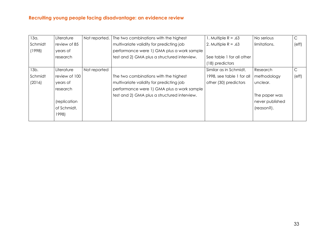| 13a.    | Literature    | Not reported. | The two combinations with the highest        | 1. Multiple $R = .63$     | No serious      | С     |
|---------|---------------|---------------|----------------------------------------------|---------------------------|-----------------|-------|
| Schmidt | review of 85  |               | multivariate validity for predicting job     | 2. Multiple $R = .63$     | limitations.    | (eff) |
| (1998)  | years of      |               | performance were 1) GMA plus a work sample   |                           |                 |       |
|         | research      |               | test and 2) GMA plus a structured interview. | See table 1 for all other |                 |       |
|         |               |               |                                              | (18) predictors           |                 |       |
| 13b.    | Literature    | Not reported  |                                              | Similar as in Schmidt,    | Research        | С     |
| Schmidt | review of 100 |               | The two combinations with the highest        | 1998, see table 1 for all | methodology     | (eff) |
| (2016)  | years of      |               | multivariate validity for predicting job     | other (30) predictors     | unclear.        |       |
|         | research      |               | performance were 1) GMA plus a work sample   |                           |                 |       |
|         |               |               | test and 2) GMA plus a structured interview. |                           | The paper was   |       |
|         | (replication  |               |                                              |                           | never published |       |
|         | of Schmidt,   |               |                                              |                           | (reason?).      |       |
|         | 1998)         |               |                                              |                           |                 |       |
|         |               |               |                                              |                           |                 |       |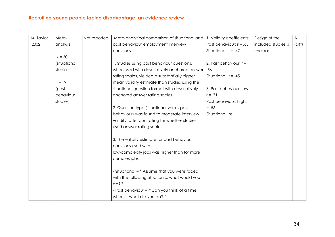| Meta-        | Not reported | Meta-analytical comparison of situational and   | 1. Validity coefficients:                                                                                                                                                                                                          | Design of the       | $\mathsf{A}$ |
|--------------|--------------|-------------------------------------------------|------------------------------------------------------------------------------------------------------------------------------------------------------------------------------------------------------------------------------------|---------------------|--------------|
| analysis     |              | past behaviour employment interview             | Past behaviour: $r = .63$                                                                                                                                                                                                          | included studies is | (diff)       |
|              |              | questions.                                      | Situational: $r = .47$                                                                                                                                                                                                             | unclear.            |              |
| $k = 30$     |              |                                                 |                                                                                                                                                                                                                                    |                     |              |
| (situational |              | 1. Studies using past behaviour questions,      | 2. Past behaviour: $r =$                                                                                                                                                                                                           |                     |              |
| studies)     |              | when used with descriptively anchored answer    | .56                                                                                                                                                                                                                                |                     |              |
|              |              | rating scales, yielded a substantially higher   | Situational: $r = .45$                                                                                                                                                                                                             |                     |              |
| $k = 19$     |              | mean validity estimate than studies using the   |                                                                                                                                                                                                                                    |                     |              |
| (past        |              | situational question format with descriptively  | 3. Past behaviour, low:                                                                                                                                                                                                            |                     |              |
| behaviour    |              | anchored answer rating scales.                  | $r = .71$                                                                                                                                                                                                                          |                     |              |
| studies)     |              |                                                 | Past behaviour, high: r                                                                                                                                                                                                            |                     |              |
|              |              | 2. Question type (situational versus past       | $=.56$                                                                                                                                                                                                                             |                     |              |
|              |              | behaviour) was found to moderate interview      | Situational: ns                                                                                                                                                                                                                    |                     |              |
|              |              | validity, after controlling for whether studies |                                                                                                                                                                                                                                    |                     |              |
|              |              | used answer rating scales.                      |                                                                                                                                                                                                                                    |                     |              |
|              |              |                                                 |                                                                                                                                                                                                                                    |                     |              |
|              |              |                                                 |                                                                                                                                                                                                                                    |                     |              |
|              |              |                                                 |                                                                                                                                                                                                                                    |                     |              |
|              |              |                                                 |                                                                                                                                                                                                                                    |                     |              |
|              |              |                                                 |                                                                                                                                                                                                                                    |                     |              |
|              |              |                                                 |                                                                                                                                                                                                                                    |                     |              |
|              |              |                                                 |                                                                                                                                                                                                                                    |                     |              |
|              |              | do?"                                            |                                                                                                                                                                                                                                    |                     |              |
|              |              | - Past behaviour = "Can you think of a time     |                                                                                                                                                                                                                                    |                     |              |
|              |              | when  what did you do?"                         |                                                                                                                                                                                                                                    |                     |              |
|              |              |                                                 | 3. The validity estimate for past behaviour<br>questions used with<br>low-complexity jobs was higher than for more<br>complex jobs.<br>- Situational = "Assume that you were faced<br>with the following situation  what would you |                     |              |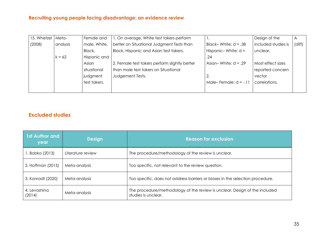| 15. Whetzel | Meta-    | Female and   | 1. On average, White test takers perform      |                        | Design of the       |        |
|-------------|----------|--------------|-----------------------------------------------|------------------------|---------------------|--------|
| (2008)      | analysis | male, White, | better on Situational Judgment Tests than     | Black-White: $d = .38$ | included studies is | (diff) |
|             |          | Black,       | Black, Hispanic and Asian test takers.        | Hispanic-White: $d =$  | unclear.            |        |
|             | $k = 62$ | Hispanic and |                                               | .24                    |                     |        |
|             |          | Asian        | 2. Female test takers perform slightly better | Asian-White: $d = .29$ | Most effect sizes   |        |
|             |          | situational  | than male test takers on Situational          |                        | reported concern    |        |
|             |          | judgment     | Judgement Tests.                              | 2.                     | vector              |        |
|             |          | test takers. |                                               | Male-Female: $d = -11$ | correlations.       |        |
|             |          |              |                                               |                        |                     |        |

### **Excluded studies**

| 1st Author and<br>year | <b>Design</b>     | <b>Reason for exclusion</b>                                                                       |
|------------------------|-------------------|---------------------------------------------------------------------------------------------------|
| . Bobko (2013)         | Literature review | The procedure/methodology of the review is unclear.                                               |
| 2. Hoffman (2015)      | Meta-analysis     | Too specific, not relevant to the review question.                                                |
| 3. Konradt (2020)      | Meta-analysis     | Too specific, does not address barriers or biases in the selection procedure.                     |
| 4. Levashina<br>(2014) | Meta-analysis     | The procedure/methodology of the review is unclear. Design of the included<br>studies is unclear. |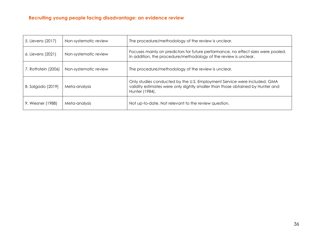| 5. Lievens (2017)   | Non-systematic review | The procedure/methodology of the review is unclear.                                                                                                                           |
|---------------------|-----------------------|-------------------------------------------------------------------------------------------------------------------------------------------------------------------------------|
| 6. Lievens (2021)   | Non-systematic review | Focuses mainly on predictors for future performance, no effect sizes were pooled.<br>In addition, the procedure/methodology of the review is unclear.                         |
| 7. Rothstein (2006) | Non-systematic review | The procedure/methodology of the review is unclear.                                                                                                                           |
| 8. Salgado (2019)   | Meta-analysis         | Only studies conducted by the U.S. Employment Service were included. GMA<br>validity estimates were only slightly smaller than those obtained by Hunter and<br>Hunter (1984). |
| 9. Wiesner (1988)   | Meta-analysis         | Not up-to-date. Not relevant to the review question.                                                                                                                          |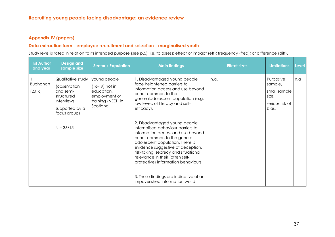#### **Appendix IV (papers)**

#### **Data extraction form - employee recruitment and selection - marginalised youth**

Study level is rated in relation to its intended purpose (see p.5), i.e. to assess: effect or impact (eff); frequency (freq); or difference (diff).

| <b>1st Author</b><br>and year | <b>Design and</b><br>sample size                                                                             | <b>Sector / Population</b>                                                                        | <b>Main findings</b>                                                                                                                                                                                                                                                                                                                                                                                            | <b>Effect sizes</b> | <b>Limitations</b>                                                        | <b>Level</b> |
|-------------------------------|--------------------------------------------------------------------------------------------------------------|---------------------------------------------------------------------------------------------------|-----------------------------------------------------------------------------------------------------------------------------------------------------------------------------------------------------------------------------------------------------------------------------------------------------------------------------------------------------------------------------------------------------------------|---------------------|---------------------------------------------------------------------------|--------------|
| Buchanan<br>(2016)            | Qualitative study<br>(observation<br>and semi-<br>structured<br>interviews<br>supported by a<br>focus group) | young people<br>$(16-19)$ not in<br>education,<br>employment or<br>training (NEET) in<br>Scotland | 1. Disadvantaged young people<br>face heightened barriers to<br>information access and use beyond<br>or not common to the<br>generaladolescent population (e.g.<br>low levels of literacy and self-<br>efficacy).                                                                                                                                                                                               | n.a.                | Purposive<br>sample,<br>small sample<br>size,<br>serious risk of<br>bias. | n.a          |
|                               | $N = 36/15$                                                                                                  |                                                                                                   | 2. Disadvantaged young people<br>internalised behaviour barriers to<br>information access and use beyond<br>or not common to the general<br>adolescent population. There is<br>evidence suggestive of deception,<br>risk-taking, secrecy and situational<br>relevance in their (often self-<br>protective) information behaviours.<br>3. These findings are indicative of an<br>impoverished information world. |                     |                                                                           |              |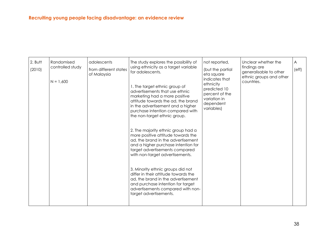| 2. Butt<br>(2010) | Randomised<br>controlled study<br>$N = 1,600$ | adolescents<br>from different states<br>of Malaysia | The study explores the possibility of<br>using ethnicity as a target variable<br>for adolescents.<br>1. The target ethnic group of<br>advertisements that use ethnic<br>marketing had a more positive<br>attitude towards the ad, the brand<br>in the advertisement and a higher<br>purchase intention compared with<br>the non-target ethnic group.<br>2. The majority ethnic group had a<br>more positive attitude towards the<br>ad, the brand in the advertisement<br>and a higher purchase intention for<br>target advertisements compared<br>with non-target advertisements.<br>3. Minority ethnic groups did not<br>differ in their attitude towards the<br>ad, the brand in the advertisement<br>and purchase intention for target<br>advertisements compared with non-<br>target advertisements. | not reported,<br>(but the partial<br>eta square<br>indicates that<br>ethnicity<br>predicted 10<br>percent of the<br>variation in<br>dependent<br>variables) | Unclear whether the<br>findings are<br>generalisable to other<br>ethnic groups and other<br>countries. | A<br>(eff) |
|-------------------|-----------------------------------------------|-----------------------------------------------------|-----------------------------------------------------------------------------------------------------------------------------------------------------------------------------------------------------------------------------------------------------------------------------------------------------------------------------------------------------------------------------------------------------------------------------------------------------------------------------------------------------------------------------------------------------------------------------------------------------------------------------------------------------------------------------------------------------------------------------------------------------------------------------------------------------------|-------------------------------------------------------------------------------------------------------------------------------------------------------------|--------------------------------------------------------------------------------------------------------|------------|
|                   |                                               |                                                     |                                                                                                                                                                                                                                                                                                                                                                                                                                                                                                                                                                                                                                                                                                                                                                                                           |                                                                                                                                                             |                                                                                                        |            |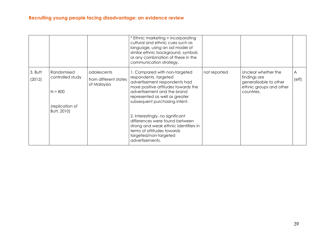|         |                                |                                      | * Ethnic marketing = incorporating<br>cultural and ethnic cues such as<br>language, using an ad model of<br>similar ethnic background, symbols<br>or any combination of these in the<br>communication strategy. |              |                                                                 |       |
|---------|--------------------------------|--------------------------------------|-----------------------------------------------------------------------------------------------------------------------------------------------------------------------------------------------------------------|--------------|-----------------------------------------------------------------|-------|
| 3. Butt | Randomised<br>controlled study | adolescents                          | 1. Compared with non-targeted<br>respondents, targeted                                                                                                                                                          | not reported | Unclear whether the<br>findings are                             | A     |
| (2012)  | $N = 800$                      | from different states<br>of Malaysia | advertisement respondents had<br>more positive attitudes towards the<br>advertisement and the brand<br>represented as well as greater<br>subsequent purchasing intent.                                          |              | generalisable to other<br>ethnic groups and other<br>countries. | (eff) |
|         | (replication of<br>Butt, 2010) |                                      |                                                                                                                                                                                                                 |              |                                                                 |       |
|         |                                |                                      | 2. Interestingly, no significant<br>differences were found between<br>strong and weak ethnic identifiers in<br>terms of attitudes towards<br>targeted/non-targeted<br>advertisements.                           |              |                                                                 |       |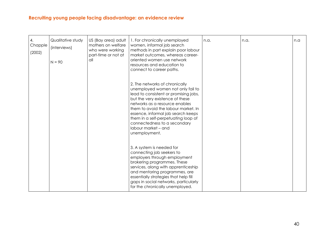| 4.<br>Chapple<br>(2002) | Qualitative study<br>(interviews)<br>$N = 90$ | US (Bay area) adult<br>mothers on welfare<br>who were working<br>part-time or not at<br>all | 1. For chronically unemployed<br>women, informal job search<br>methods in part explain poor labour<br>market outcomes, whereas career-<br>oriented women use network<br>resources and education to<br>connect to career paths.                                                                                                                                                | n.a. | n.a. | n.a |
|-------------------------|-----------------------------------------------|---------------------------------------------------------------------------------------------|-------------------------------------------------------------------------------------------------------------------------------------------------------------------------------------------------------------------------------------------------------------------------------------------------------------------------------------------------------------------------------|------|------|-----|
|                         |                                               |                                                                                             | 2. The networks of chronically<br>unemployed women not only fail to<br>lead to consistent or promising jobs,<br>but the very existence of these<br>networks as a resource enables<br>them to avoid the labour market. In<br>essence, informal job search keeps<br>them in a self-perpetuating loop of<br>connectedness to a secondary<br>labour market - and<br>unemployment. |      |      |     |
|                         |                                               |                                                                                             | 3. A system is needed for<br>connecting job seekers to<br>employers through employment<br>brokering programmes. These<br>services, along with apprenticeship<br>and mentoring programmes, are<br>essentially strategies that help fill<br>gaps in social networks, particularly<br>for the chronically unemployed.                                                            |      |      |     |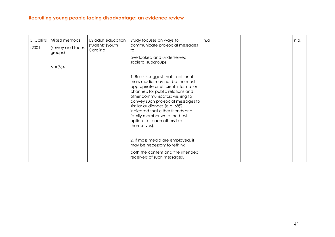| 5. Collins<br>(2001) | Mixed methods<br>(survey and focus<br>groups)<br>$N = 764$ | US adult education<br>students (South<br>Carolina) | Study focuses on ways to<br>communicate pro-social messages<br>to<br>overlooked and underserved<br>societal subgroups.                                                                                                                                                                                                                                                         | n.a | n.a. |
|----------------------|------------------------------------------------------------|----------------------------------------------------|--------------------------------------------------------------------------------------------------------------------------------------------------------------------------------------------------------------------------------------------------------------------------------------------------------------------------------------------------------------------------------|-----|------|
|                      |                                                            |                                                    | 1. Results suggest that traditional<br>mass media may not be the most<br>appropriate or efficient information<br>channels for public relations and<br>other communicators wishing to<br>convey such pro-social messages to<br>similar audiences (e.g. 68%<br>indicated that either friends or a<br>family member were the best<br>options to reach others like<br>themselves). |     |      |
|                      |                                                            |                                                    | 2. If mass media are employed, it<br>may be necessary to rethink<br>both the content and the intended<br>receivers of such messages.                                                                                                                                                                                                                                           |     |      |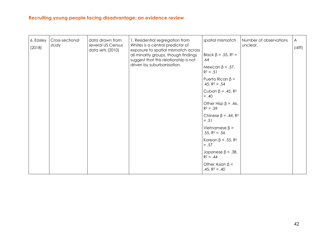| 6. Easley<br>(2018) | Cross-sectional<br>study | data drawn from<br>several US Census<br>data sets (2010) | 1. Residential segregation from<br>Whites is a central predictor of<br>exposure to spatial mismatch across<br>all minority groups, though findings<br>suggest that this relationship is not<br>driven by suburbanisation. | spatial mismatch<br>Black β = .55, R <sup>2</sup> =<br>.64<br>Mexican $\beta$ = .57,<br>$R^2 = .51$<br>Puerto Rican $\beta$ =<br>.45, $R^2 = .54$<br>Cuban $\beta$ = .45, $R^2$<br>$=.40$<br>Other Hisp $\beta$ = .46,<br>$R^2 = .59$<br>Chinese $\beta$ = .44, $R^2$<br>$=.51$<br>Vietnamese $\beta$ =<br>$.55, R2 = .56$<br>Korean $\beta$ = .55, $R^2$<br>$=.57$<br>Japanese $\beta$ = .38,<br>$R^2 = .44$<br>Other Asian $\beta$ = | Number of observations<br>unclear. | A<br>(diff) |
|---------------------|--------------------------|----------------------------------------------------------|---------------------------------------------------------------------------------------------------------------------------------------------------------------------------------------------------------------------------|----------------------------------------------------------------------------------------------------------------------------------------------------------------------------------------------------------------------------------------------------------------------------------------------------------------------------------------------------------------------------------------------------------------------------------------|------------------------------------|-------------|
|                     |                          |                                                          |                                                                                                                                                                                                                           | .45, $R^2 = .40$                                                                                                                                                                                                                                                                                                                                                                                                                       |                                    |             |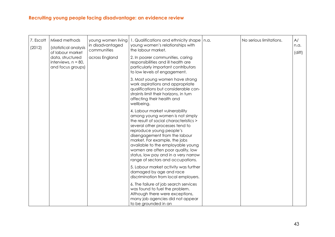| 7. Escott<br>(2012) | Mixed methods<br>(statistical analysis<br>of labour market<br>data, structured<br>interviews, $n = 80$ ,<br>and focus groups) | young women living<br>in disadvantaged<br>communities<br>across England | 1. Qualifications and ethnicity shape   n.a.<br>young women's relationships with<br>the labour market.<br>2. In poorer communities, caring                                                                                                                                                                                                                                                          | No serious limitations. | A/<br>n.a.<br>(diff) |
|---------------------|-------------------------------------------------------------------------------------------------------------------------------|-------------------------------------------------------------------------|-----------------------------------------------------------------------------------------------------------------------------------------------------------------------------------------------------------------------------------------------------------------------------------------------------------------------------------------------------------------------------------------------------|-------------------------|----------------------|
|                     |                                                                                                                               |                                                                         | responsibilities and ill health are<br>particularly important contributors<br>to low levels of engagement.                                                                                                                                                                                                                                                                                          |                         |                      |
|                     |                                                                                                                               |                                                                         | 3. Most young women have strong<br>work aspirations and appropriate<br>qualifications but considerable con-<br>straints limit their horizons, in turn<br>affecting their health and<br>wellbeing.                                                                                                                                                                                                   |                         |                      |
|                     |                                                                                                                               |                                                                         | 4. Labour market vulnerability<br>among young women is not simply<br>the result of social characteristics ><br>several other processes tend to<br>reproduce young people's<br>disengagement from the labour<br>market. For example, the jobs<br>available to the employable young<br>women are often poor quality, low<br>status, low pay and in a very narrow<br>range of sectors and occupations. |                         |                      |
|                     |                                                                                                                               |                                                                         | 5. Labour market activity was further<br>damaged by age and race<br>discrimination from local employers.                                                                                                                                                                                                                                                                                            |                         |                      |
|                     |                                                                                                                               |                                                                         | 6. The failure of job search services<br>was found to fuel the problem.<br>Although there were exceptions,<br>many job agencies did not appear<br>to be grounded in an                                                                                                                                                                                                                              |                         |                      |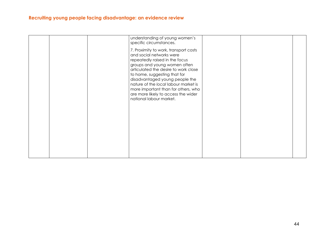|  | understanding of young women's<br>specific circumstances.                                                                                                                                                                                                                                                                                                                                      |  |  |
|--|------------------------------------------------------------------------------------------------------------------------------------------------------------------------------------------------------------------------------------------------------------------------------------------------------------------------------------------------------------------------------------------------|--|--|
|  | 7. Proximity to work, transport costs<br>and social networks were<br>repeatedly raised in the focus<br>groups and young women often<br>articulated the desire to work close<br>to home, suggesting that for<br>disadvantaged young people the<br>nature of the local labour market is<br>more important than for others, who<br>are more likely to access the wider<br>national labour market. |  |  |
|  |                                                                                                                                                                                                                                                                                                                                                                                                |  |  |
|  |                                                                                                                                                                                                                                                                                                                                                                                                |  |  |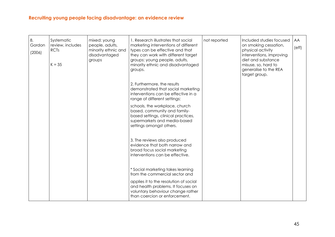| 8.<br>Gordon<br>(2006) | Systematic<br>review, includes<br><b>RCTs</b><br>$K = 35$ | mixed: young<br>people, adults,<br>minority ethnic and<br>disadvantaged<br>groups | 1. Research illustrates that social<br>marketing interventions of different<br>types can be effective and that<br>they can work with different target<br>groups: young people, adults,<br>minority ethnic and disadvantaged<br>groups. | not reported | Included studies focused<br>on smoking cessation,<br>physical activity<br>interventions, improving<br>diet and substance<br>misuse, so, hard to<br>generalise to the REA<br>target group. | AA<br>(eff) |
|------------------------|-----------------------------------------------------------|-----------------------------------------------------------------------------------|----------------------------------------------------------------------------------------------------------------------------------------------------------------------------------------------------------------------------------------|--------------|-------------------------------------------------------------------------------------------------------------------------------------------------------------------------------------------|-------------|
|                        |                                                           |                                                                                   | 2. Furthermore, the results<br>demonstrated that social marketing<br>interventions can be effective in a<br>range of different settings:                                                                                               |              |                                                                                                                                                                                           |             |
|                        |                                                           |                                                                                   | schools, the workplace, church<br>based, community and family-<br>based settings, clinical practices,<br>supermarkets and media-based<br>settings amongst others.                                                                      |              |                                                                                                                                                                                           |             |
|                        |                                                           |                                                                                   | 3. The reviews also produced<br>evidence that both narrow and<br>broad focus social marketing<br>interventions can be effective.                                                                                                       |              |                                                                                                                                                                                           |             |
|                        |                                                           |                                                                                   | * Social marketing takes learning<br>from the commercial sector and                                                                                                                                                                    |              |                                                                                                                                                                                           |             |
|                        |                                                           |                                                                                   | applies it to the resolution of social<br>and health problems. It focuses on<br>voluntary behaviour change rather<br>than coercion or enforcement.                                                                                     |              |                                                                                                                                                                                           |             |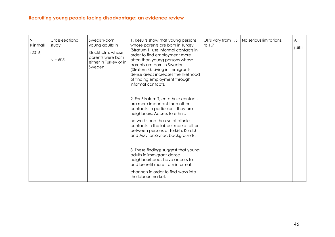| 9.<br>Klinthall<br>(2016) | Cross-sectional<br>study<br>$N = 605$ | Swedish-born<br>young adults in<br>Stockholm, whose<br>parents were born<br>either in Turkey or in<br>Sweden | 1. Results show that young persons<br>whose parents are born in Turkey<br>(Stratum T) use informal contacts in<br>order to find employment more<br>often than young persons whose<br>parents are born in Sweden<br>(Stratum S). Living in immigrant-<br>dense areas increases the likelihood<br>of finding employment through<br>informal contacts. | OR's vary from 1.5<br>to $1.7$ | No serious limitations. | A<br>(diff) |
|---------------------------|---------------------------------------|--------------------------------------------------------------------------------------------------------------|-----------------------------------------------------------------------------------------------------------------------------------------------------------------------------------------------------------------------------------------------------------------------------------------------------------------------------------------------------|--------------------------------|-------------------------|-------------|
|                           |                                       |                                                                                                              | 2. For Stratum T, co-ethnic contacts<br>are more important than other<br>contacts, in particular if they are<br>neighbours. Access to ethnic<br>networks and the use of ethnic<br>contacts in the labour market differ<br>between persons of Turkish, Kurdish<br>and Assyrian/Syriac backgrounds.                                                   |                                |                         |             |
|                           |                                       |                                                                                                              | 3. These findings suggest that young<br>adults in immigrant-dense<br>neighbourhoods have access to<br>and benefit more from informal<br>channels in order to find ways into<br>the labour market.                                                                                                                                                   |                                |                         |             |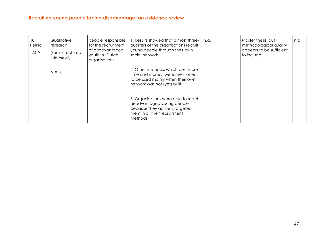| 10.<br>Perkic<br>(2019) | Qualitative<br>research<br>(semi-structured<br>interviews) | people responsible<br>for the recruitment<br>of disadvantaged<br>youth in (Dutch)<br>organisations | 1. Results showed that almost three-<br>quarters of the organisations recruit<br>young people through their own<br>social network.               | n.a. | Master thesis, but<br>methodological quality<br>appears to be sufficient<br>to include. | n.a. |
|-------------------------|------------------------------------------------------------|----------------------------------------------------------------------------------------------------|--------------------------------------------------------------------------------------------------------------------------------------------------|------|-----------------------------------------------------------------------------------------|------|
|                         | $N = 16$                                                   |                                                                                                    | 2. Other methods, which cost more<br>time and money, were mentioned<br>to be used mainly when their own<br>network was not (yet) built.          |      |                                                                                         |      |
|                         |                                                            |                                                                                                    | 3. Organisations were able to reach<br>disadvantaged young people<br>because they actively targeted<br>them in all their recruitment<br>methods. |      |                                                                                         |      |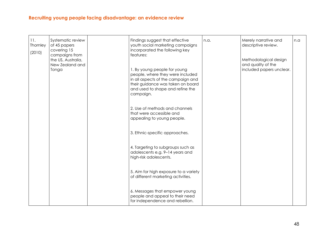| 11.<br>Thornley<br>(2010) | Systematic review<br>of 45 papers<br>covering 15<br>campaigns from<br>the US, Australia,<br>New Zealand and<br>Tonga | Findings suggest that effective<br>youth social marketing campaigns<br>incorporated the following key<br>features:<br>1. By young people for young<br>people, where they were included<br>in all aspects of the campaign and<br>their guidance was taken on board<br>and used to shape and refine the<br>campaign. | n.a. | Merely narrative and<br>descriptive review.<br>Methodological design<br>and quality of the<br>included papers unclear. | n.a |
|---------------------------|----------------------------------------------------------------------------------------------------------------------|--------------------------------------------------------------------------------------------------------------------------------------------------------------------------------------------------------------------------------------------------------------------------------------------------------------------|------|------------------------------------------------------------------------------------------------------------------------|-----|
|                           |                                                                                                                      | 2. Use of methods and channels<br>that were accessible and<br>appealing to young people.                                                                                                                                                                                                                           |      |                                                                                                                        |     |
|                           |                                                                                                                      | 3. Ethnic-specific approaches.                                                                                                                                                                                                                                                                                     |      |                                                                                                                        |     |
|                           |                                                                                                                      | 4. Targeting to subgroups such as<br>adolescents e.g. 9-14 years and<br>high-risk adolescents.                                                                                                                                                                                                                     |      |                                                                                                                        |     |
|                           |                                                                                                                      | 5. Aim for high exposure to a variety<br>of different marketing activities.                                                                                                                                                                                                                                        |      |                                                                                                                        |     |
|                           |                                                                                                                      | 6. Messages that empower young<br>people and appeal to their need<br>for independence and rebellion.                                                                                                                                                                                                               |      |                                                                                                                        |     |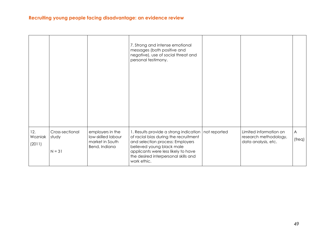|                          |                                      |                                                                            | 7. Strong and intense emotional<br>messages (both positive and<br>negative), use of social threat and<br>personal testimony.                                                                                                                   |              |                                                                        |                                 |
|--------------------------|--------------------------------------|----------------------------------------------------------------------------|------------------------------------------------------------------------------------------------------------------------------------------------------------------------------------------------------------------------------------------------|--------------|------------------------------------------------------------------------|---------------------------------|
| 12.<br>Wozniak<br>(2011) | Cross-sectional<br>study<br>$N = 31$ | employers in the<br>low-skilled labour<br>market in South<br>Bend, Indiana | 1. Results provide a strong indication<br>of racial bias during the recruitment<br>and selection process: Employers<br>believed young black male<br>applicants were less likely to have<br>the desired interpersonal skills and<br>work ethic. | not reported | Limited information on<br>research methodology,<br>data analysis, etc. | $\bigwedge$<br>$_{\text{freq}}$ |